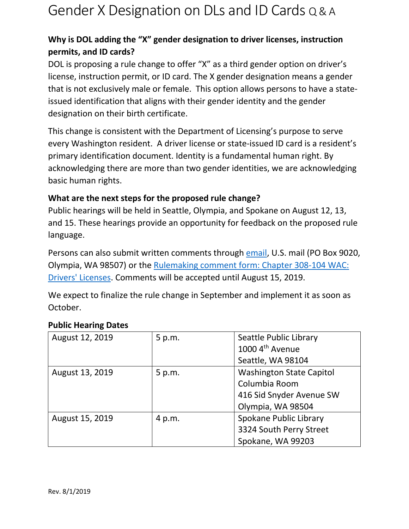## Gender X Designation on DLs and ID Cards Q & A

### **Why is DOL adding the "X" gender designation to driver licenses, instruction permits, and ID cards?**

DOL is proposing a rule change to offer "X" as a third gender option on driver's license, instruction permit, or ID card. The X gender designation means a gender that is not exclusively male or female. This option allows persons to have a stateissued identification that aligns with their gender identity and the gender designation on their birth certificate.

This change is consistent with the Department of Licensing's purpose to serve every Washington resident. A driver license or state-issued ID card is a resident's primary identification document. Identity is a fundamental human right. By acknowledging there are more than two gender identities, we are acknowledging basic human rights.

### **What are the next steps for the proposed rule change?**

Public hearings will be held in Seattle, Olympia, and Spokane on August 12, 13, and 15. These hearings provide an opportunity for feedback on the proposed rule language.

Persons can also submit written comments through [email,](mailto:rulescoordinator@dol.wa.gov) U.S. mail (PO Box 9020, Olympia, WA 98507) or the [Rulemaking comment form: Chapter 308-104 WAC:](https://www.surveygizmo.com/s3/5100114/Rulemaking-comment-form-Chapter-308-104-WAC-Drivers-Licenses-08-14-19)  [Drivers' Licenses.](https://www.surveygizmo.com/s3/5100114/Rulemaking-comment-form-Chapter-308-104-WAC-Drivers-Licenses-08-14-19) Comments will be accepted until August 15, 2019.

We expect to finalize the rule change in September and implement it as soon as October.

| August 12, 2019 | 5 p.m. | Seattle Public Library          |
|-----------------|--------|---------------------------------|
|                 |        | 1000 4 <sup>th</sup> Avenue     |
|                 |        | Seattle, WA 98104               |
| August 13, 2019 | 5 p.m. | <b>Washington State Capitol</b> |
|                 |        | Columbia Room                   |
|                 |        | 416 Sid Snyder Avenue SW        |
|                 |        | Olympia, WA 98504               |
| August 15, 2019 | 4 p.m. | Spokane Public Library          |
|                 |        | 3324 South Perry Street         |
|                 |        | Spokane, WA 99203               |

#### **Public Hearing Dates**